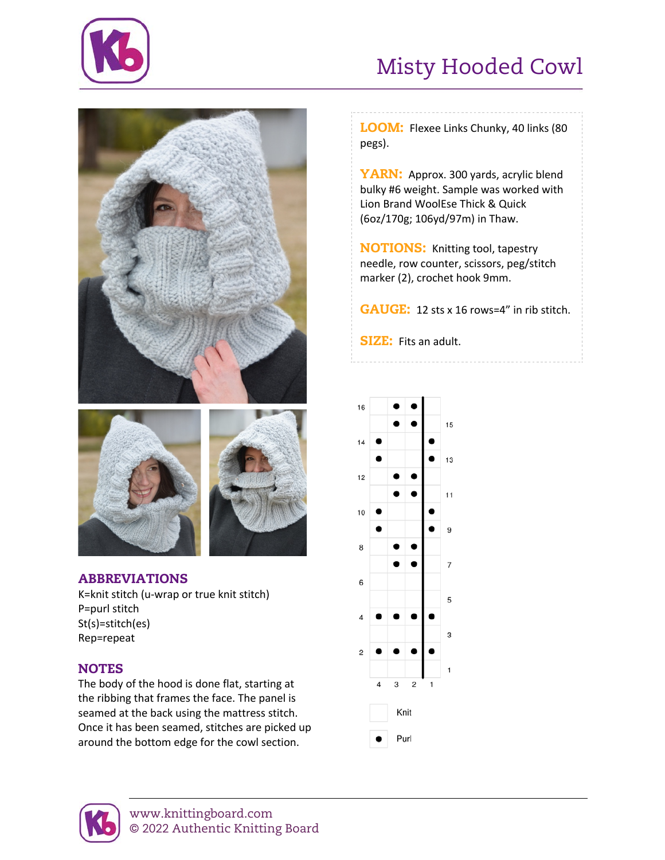

# Misty Hooded Cowl





## ABBREVIATIONS

K=knit stitch (u-wrap or true knit stitch) P=purl stitch St(s)=stitch(es) Rep=repeat

## **NOTES**

The body of the hood is done flat, starting at the ribbing that frames the face. The panel is seamed at the back using the mattress stitch. Once it has been seamed, stitches are picked up around the bottom edge for the cowl section.

LOOM: Flexee Links Chunky, 40 links (80 pegs).

YARN: Approx. 300 yards, acrylic blend bulky #6 weight. Sample was worked with Lion Brand WoolEse Thick & Quick (6oz/170g; 106yd/97m) in Thaw.

NOTIONS: Knitting tool, tapestry needle, row counter, scissors, peg/stitch marker (2), crochet hook 9mm.

GAUGE: 12 sts x 16 rows=4" in rib stitch.

SIZE: Fits an adult.



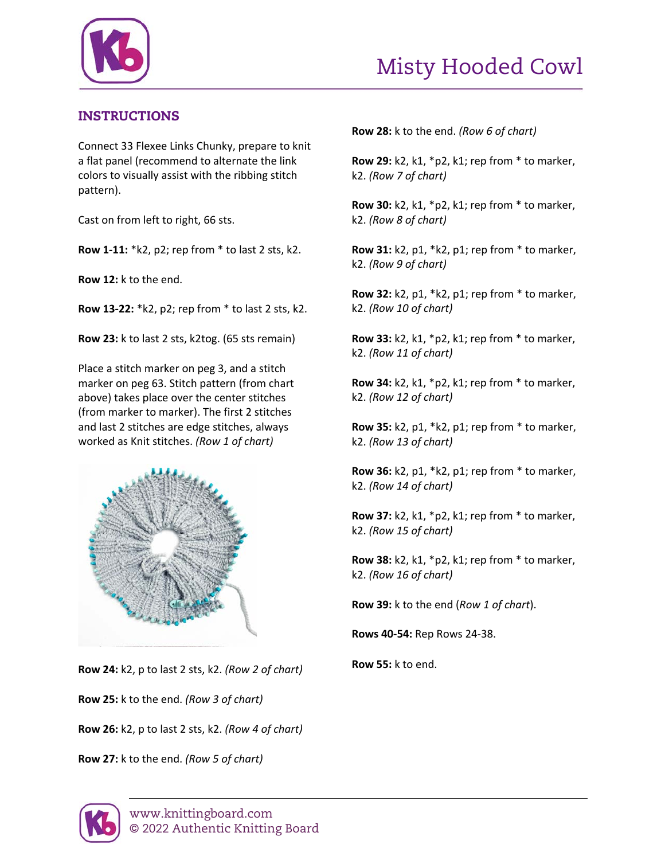

# Misty Hooded Cowl

### INSTRUCTIONS

Connect 33 Flexee Links Chunky, prepare to knit a flat panel (recommend to alternate the link colors to visually assist with the ribbing stitch pattern).

Cast on from left to right, 66 sts.

**Row 1-11:** \*k2, p2; rep from \* to last 2 sts, k2.

**Row 12:** k to the end.

**Row 13-22:** \*k2, p2; rep from \* to last 2 sts, k2.

**Row 23:** k to last 2 sts, k2tog. (65 sts remain)

Place a stitch marker on peg 3, and a stitch marker on peg 63. Stitch pattern (from chart above) takes place over the center stitches (from marker to marker). The first 2 stitches and last 2 stitches are edge stitches, always worked as Knit stitches. *(Row 1 of chart)*



**Row 24:** k2, p to last 2 sts, k2. *(Row 2 of chart)*

**Row 25:** k to the end. *(Row 3 of chart)*

**Row 26:** k2, p to last 2 sts, k2. *(Row 4 of chart)*

**Row 27:** k to the end. *(Row 5 of chart)*

**Row 28:** k to the end. *(Row 6 of chart)*

**Row 29:** k2, k1, \*p2, k1; rep from \* to marker, k2. *(Row 7 of chart)*

**Row 30:** k2, k1, \*p2, k1; rep from \* to marker, k2. *(Row 8 of chart)*

**Row 31:** k2, p1, \*k2, p1; rep from \* to marker, k2. *(Row 9 of chart)*

**Row 32:** k2, p1, \*k2, p1; rep from \* to marker, k2. *(Row 10 of chart)*

**Row 33:** k2, k1, \*p2, k1; rep from \* to marker, k2. *(Row 11 of chart)*

**Row 34:** k2, k1, \*p2, k1; rep from \* to marker, k2. *(Row 12 of chart)*

**Row 35:** k2, p1, \*k2, p1; rep from \* to marker, k2. *(Row 13 of chart)*

**Row 36:** k2, p1, \*k2, p1; rep from \* to marker, k2. *(Row 14 of chart)*

**Row 37:** k2, k1, \*p2, k1; rep from \* to marker, k2. *(Row 15 of chart)*

**Row 38:** k2, k1, \*p2, k1; rep from \* to marker, k2. *(Row 16 of chart)*

**Row 39:** k to the end (*Row 1 of chart*).

**Rows 40-54:** Rep Rows 24-38.

**Row 55:** k to end.

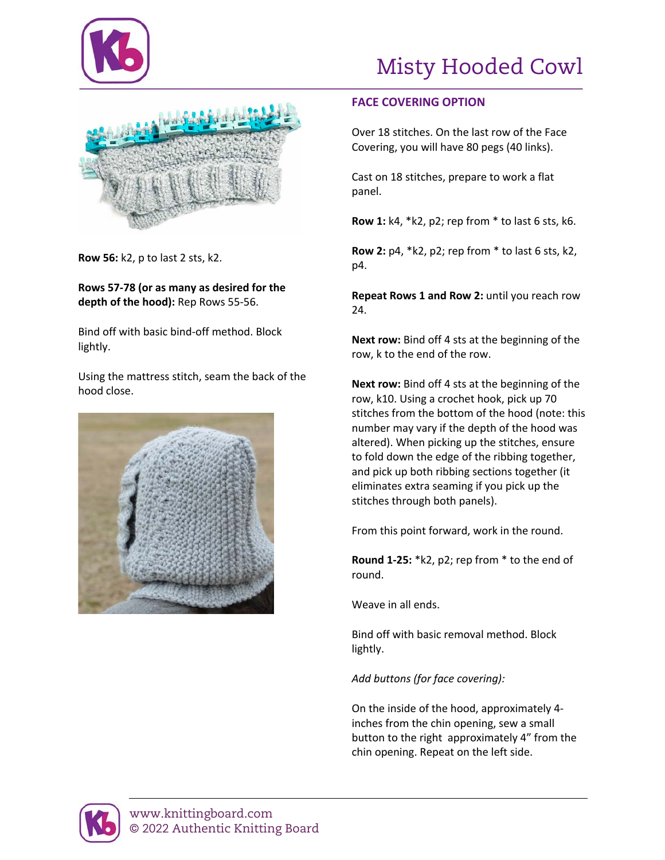



**Row 56:** k2, p to last 2 sts, k2.

**Rows 57-78 (or as many as desired for the depth of the hood):** Rep Rows 55-56.

Bind off with basic bind-off method. Block lightly.

Using the mattress stitch, seam the back of the hood close.



#### **FACE COVERING OPTION**

Over 18 stitches. On the last row of the Face Covering, you will have 80 pegs (40 links).

Cast on 18 stitches, prepare to work a flat panel.

**Row 1:** k4, \*k2, p2; rep from \* to last 6 sts, k6.

**Row 2:** p4, \*k2, p2; rep from \* to last 6 sts, k2, p4.

**Repeat Rows 1 and Row 2:** until you reach row 24.

**Next row:** Bind off 4 sts at the beginning of the row, k to the end of the row.

**Next row:** Bind off 4 sts at the beginning of the row, k10. Using a crochet hook, pick up 70 stitches from the bottom of the hood (note: this number may vary if the depth of the hood was altered). When picking up the stitches, ensure to fold down the edge of the ribbing together, and pick up both ribbing sections together (it eliminates extra seaming if you pick up the stitches through both panels).

From this point forward, work in the round.

**Round 1-25:** \*k2, p2; rep from \* to the end of round.

Weave in all ends.

Bind off with basic removal method. Block lightly.

*Add buttons (for face covering):*

On the inside of the hood, approximately 4 inches from the chin opening, sew a small button to the right approximately 4" from the chin opening. Repeat on the left side.